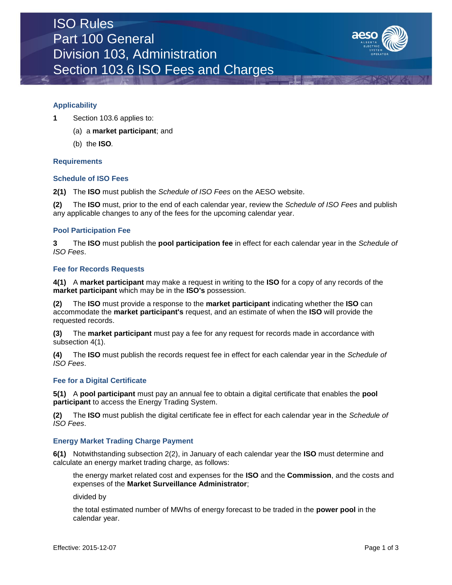

## **Applicability**

- **1** Section 103.6 applies to:
	- (a) a **market participant**; and
	- (b) the **ISO***.*

### **Requirements**

### **Schedule of ISO Fees**

**2(1)** The **ISO** must publish the *Schedule of ISO Fees* on the AESO website.

**(2)** The **ISO** must, prior to the end of each calendar year, review the *Schedule of ISO Fees* and publish any applicable changes to any of the fees for the upcoming calendar year.

#### **Pool Participation Fee**

**3** The **ISO** must publish the **pool participation fee** in effect for each calendar year in the *Schedule of ISO Fees*.

#### **Fee for Records Requests**

**4(1)** A **market participant** may make a request in writing to the **ISO** for a copy of any records of the **market participant** which may be in the **ISO's** possession.

**(2)** The **ISO** must provide a response to the **market participant** indicating whether the **ISO** can accommodate the **market participant's** request, and an estimate of when the **ISO** will provide the requested records.

**(3)** The **market participant** must pay a fee for any request for records made in accordance with subsection 4(1).

**(4)** The **ISO** must publish the records request fee in effect for each calendar year in the *Schedule of ISO Fees*.

## **Fee for a Digital Certificate**

**5(1)** A **pool participant** must pay an annual fee to obtain a digital certificate that enables the **pool participant** to access the Energy Trading System.

**(2)** The **ISO** must publish the digital certificate fee in effect for each calendar year in the *Schedule of ISO Fees*.

#### **Energy Market Trading Charge Payment**

**6(1)** Notwithstanding subsection 2(2), in January of each calendar year the **ISO** must determine and calculate an energy market trading charge, as follows:

the energy market related cost and expenses for the **ISO** and the **Commission**, and the costs and expenses of the **Market Surveillance Administrator**;

divided by

the total estimated number of MWhs of energy forecast to be traded in the **power pool** in the calendar year.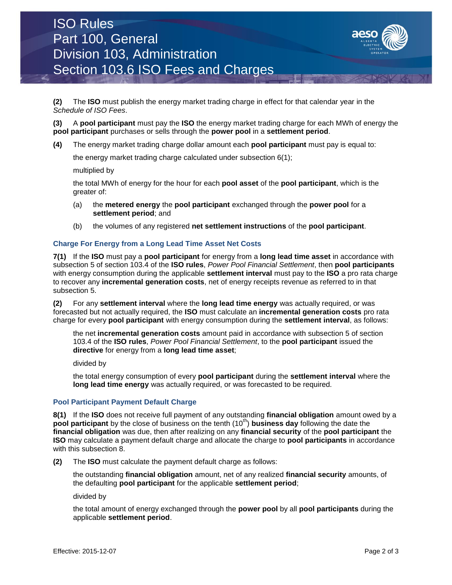# ISO Rules Part 100, General Division 103, Administration Section 103.6 ISO Fees and Charges



**(2)** The **ISO** must publish the energy market trading charge in effect for that calendar year in the *Schedule of ISO Fees*.

**(3)** A **pool participant** must pay the **ISO** the energy market trading charge for each MWh of energy the **pool participant** purchases or sells through the **power pool** in a **settlement period**.

**(4)** The energy market trading charge dollar amount each **pool participant** must pay is equal to:

the energy market trading charge calculated under subsection 6(1);

multiplied by

the total MWh of energy for the hour for each **pool asset** of the **pool participant**, which is the greater of:

- (a) the **metered energy** the **pool participant** exchanged through the **power pool** for a **settlement period**; and
- (b) the volumes of any registered **net settlement instructions** of the **pool participant**.

## **Charge For Energy from a Long Lead Time Asset Net Costs**

**7(1)** If the **ISO** must pay a **pool participant** for energy from a **long lead time asset** in accordance with subsection 5 of section 103.4 of the **ISO rules**, *Power Pool Financial Settlement*, then **pool participants** with energy consumption during the applicable **settlement interval** must pay to the **ISO** a pro rata charge to recover any **incremental generation costs**, net of energy receipts revenue as referred to in that subsection 5.

**(2)** For any **settlement interval** where the **long lead time energy** was actually required, or was forecasted but not actually required, the **ISO** must calculate an **incremental generation costs** pro rata charge for every **pool participant** with energy consumption during the **settlement interval**, as follows:

the net **incremental generation costs** amount paid in accordance with subsection 5 of section 103.4 of the **ISO rules**, *Power Pool Financial Settlement*, to the **pool participant** issued the **directive** for energy from a **long lead time asset**;

divided by

the total energy consumption of every **pool participant** during the **settlement interval** where the **long lead time energy** was actually required, or was forecasted to be required*.*

#### **Pool Participant Payment Default Charge**

**8(1)** If the **ISO** does not receive full payment of any outstanding **financial obligation** amount owed by a **pool participant** by the close of business on the tenth (10<sup>th</sup>) **business day** following the date the **financial obligation** was due, then after realizing on any **financial security** of the **pool participant** the **ISO** may calculate a payment default charge and allocate the charge to **pool participants** in accordance with this subsection 8.

**(2)** The **ISO** must calculate the payment default charge as follows:

the outstanding **financial obligation** amount, net of any realized **financial security** amounts, of the defaulting **pool participant** for the applicable **settlement period**;

divided by

the total amount of energy exchanged through the **power pool** by all **pool participants** during the applicable **settlement period**.